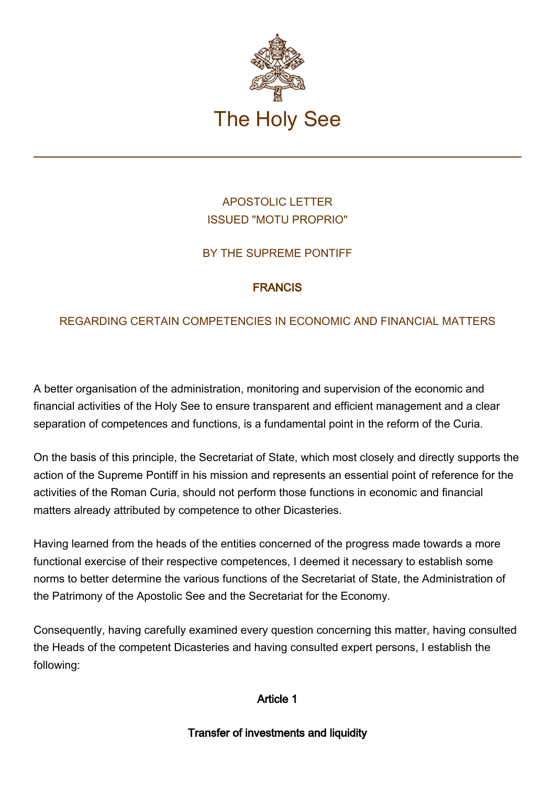

# APOSTOLIC LETTER ISSUED "MOTU PROPRIO"

# BY THE SUPREME PONTIFF

### FRANCIS

# REGARDING CERTAIN COMPETENCIES IN ECONOMIC AND FINANCIAL MATTERS

A better organisation of the administration, monitoring and supervision of the economic and financial activities of the Holy See to ensure transparent and efficient management and a clear separation of competences and functions, is a fundamental point in the reform of the Curia.

On the basis of this principle, the Secretariat of State, which most closely and directly supports the action of the Supreme Pontiff in his mission and represents an essential point of reference for the activities of the Roman Curia, should not perform those functions in economic and financial matters already attributed by competence to other Dicasteries.

Having learned from the heads of the entities concerned of the progress made towards a more functional exercise of their respective competences, I deemed it necessary to establish some norms to better determine the various functions of the Secretariat of State, the Administration of the Patrimony of the Apostolic See and the Secretariat for the Economy.

Consequently, having carefully examined every question concerning this matter, having consulted the Heads of the competent Dicasteries and having consulted expert persons, I establish the following:

Article 1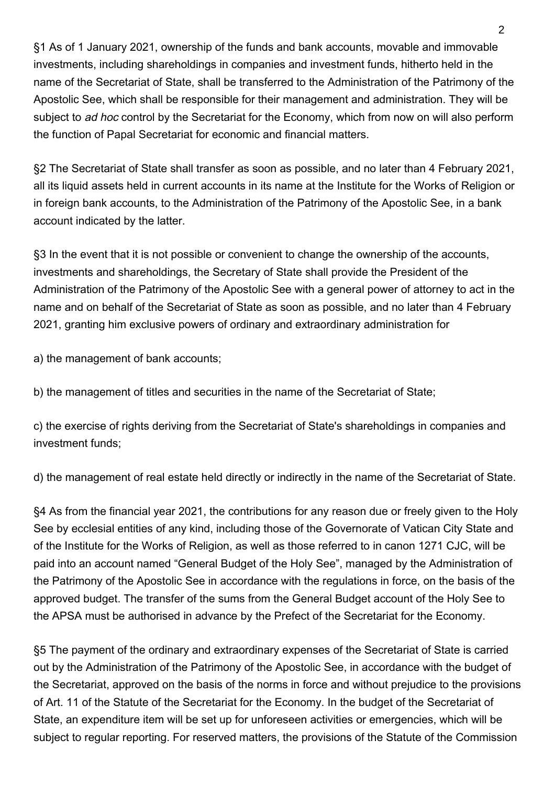§1 As of 1 January 2021, ownership of the funds and bank accounts, movable and immovable investments, including shareholdings in companies and investment funds, hitherto held in the name of the Secretariat of State, shall be transferred to the Administration of the Patrimony of the Apostolic See, which shall be responsible for their management and administration. They will be subject to ad hoc control by the Secretariat for the Economy, which from now on will also perform the function of Papal Secretariat for economic and financial matters.

§2 The Secretariat of State shall transfer as soon as possible, and no later than 4 February 2021, all its liquid assets held in current accounts in its name at the Institute for the Works of Religion or in foreign bank accounts, to the Administration of the Patrimony of the Apostolic See, in a bank account indicated by the latter.

§3 In the event that it is not possible or convenient to change the ownership of the accounts, investments and shareholdings, the Secretary of State shall provide the President of the Administration of the Patrimony of the Apostolic See with a general power of attorney to act in the name and on behalf of the Secretariat of State as soon as possible, and no later than 4 February 2021, granting him exclusive powers of ordinary and extraordinary administration for

a) the management of bank accounts;

b) the management of titles and securities in the name of the Secretariat of State;

c) the exercise of rights deriving from the Secretariat of State's shareholdings in companies and investment funds;

d) the management of real estate held directly or indirectly in the name of the Secretariat of State.

§4 As from the financial year 2021, the contributions for any reason due or freely given to the Holy See by ecclesial entities of any kind, including those of the Governorate of Vatican City State and of the Institute for the Works of Religion, as well as those referred to in canon 1271 CJC, will be paid into an account named "General Budget of the Holy See", managed by the Administration of the Patrimony of the Apostolic See in accordance with the regulations in force, on the basis of the approved budget. The transfer of the sums from the General Budget account of the Holy See to the APSA must be authorised in advance by the Prefect of the Secretariat for the Economy.

§5 The payment of the ordinary and extraordinary expenses of the Secretariat of State is carried out by the Administration of the Patrimony of the Apostolic See, in accordance with the budget of the Secretariat, approved on the basis of the norms in force and without prejudice to the provisions of Art. 11 of the Statute of the Secretariat for the Economy. In the budget of the Secretariat of State, an expenditure item will be set up for unforeseen activities or emergencies, which will be subject to regular reporting. For reserved matters, the provisions of the Statute of the Commission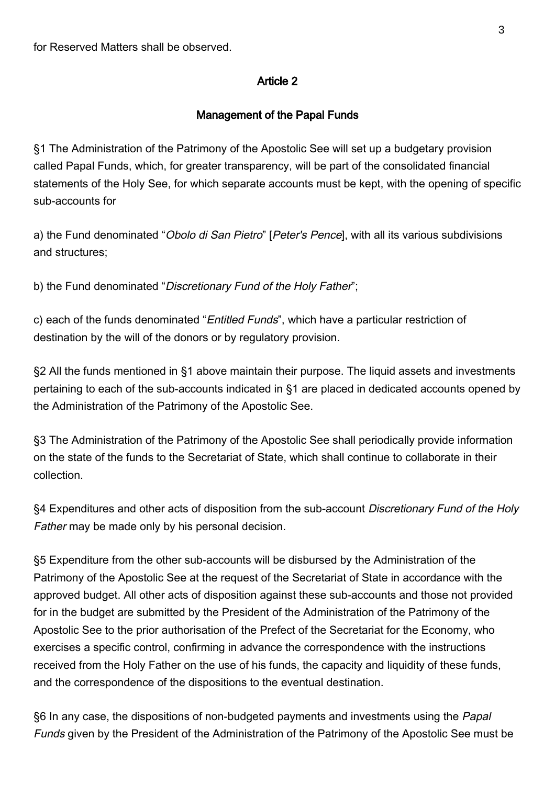#### Article 2

#### Management of the Papal Funds

§1 The Administration of the Patrimony of the Apostolic See will set up a budgetary provision called Papal Funds, which, for greater transparency, will be part of the consolidated financial statements of the Holy See, for which separate accounts must be kept, with the opening of specific sub-accounts for

a) the Fund denominated "Obolo di San Pietro" [Peter's Pence], with all its various subdivisions and structures;

b) the Fund denominated "Discretionary Fund of the Holy Father";

c) each of the funds denominated "Entitled Funds", which have a particular restriction of destination by the will of the donors or by regulatory provision.

§2 All the funds mentioned in §1 above maintain their purpose. The liquid assets and investments pertaining to each of the sub-accounts indicated in §1 are placed in dedicated accounts opened by the Administration of the Patrimony of the Apostolic See.

§3 The Administration of the Patrimony of the Apostolic See shall periodically provide information on the state of the funds to the Secretariat of State, which shall continue to collaborate in their collection.

§4 Expenditures and other acts of disposition from the sub-account Discretionary Fund of the Holy Father may be made only by his personal decision.

§5 Expenditure from the other sub-accounts will be disbursed by the Administration of the Patrimony of the Apostolic See at the request of the Secretariat of State in accordance with the approved budget. All other acts of disposition against these sub-accounts and those not provided for in the budget are submitted by the President of the Administration of the Patrimony of the Apostolic See to the prior authorisation of the Prefect of the Secretariat for the Economy, who exercises a specific control, confirming in advance the correspondence with the instructions received from the Holy Father on the use of his funds, the capacity and liquidity of these funds, and the correspondence of the dispositions to the eventual destination.

§6 In any case, the dispositions of non-budgeted payments and investments using the Papal Funds given by the President of the Administration of the Patrimony of the Apostolic See must be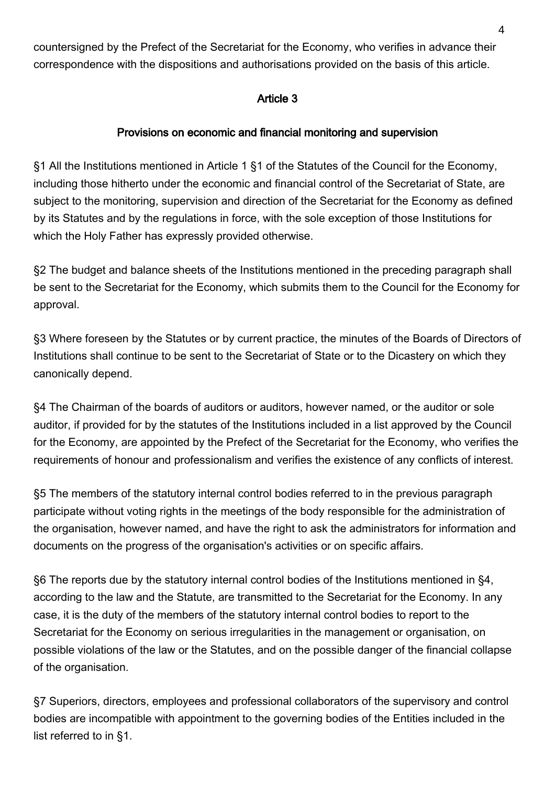countersigned by the Prefect of the Secretariat for the Economy, who verifies in advance their correspondence with the dispositions and authorisations provided on the basis of this article.

### Article 3

### Provisions on economic and financial monitoring and supervision

§1 All the Institutions mentioned in Article 1 §1 of the Statutes of the Council for the Economy, including those hitherto under the economic and financial control of the Secretariat of State, are subject to the monitoring, supervision and direction of the Secretariat for the Economy as defined by its Statutes and by the regulations in force, with the sole exception of those Institutions for which the Holy Father has expressly provided otherwise.

§2 The budget and balance sheets of the Institutions mentioned in the preceding paragraph shall be sent to the Secretariat for the Economy, which submits them to the Council for the Economy for approval.

§3 Where foreseen by the Statutes or by current practice, the minutes of the Boards of Directors of Institutions shall continue to be sent to the Secretariat of State or to the Dicastery on which they canonically depend.

§4 The Chairman of the boards of auditors or auditors, however named, or the auditor or sole auditor, if provided for by the statutes of the Institutions included in a list approved by the Council for the Economy, are appointed by the Prefect of the Secretariat for the Economy, who verifies the requirements of honour and professionalism and verifies the existence of any conflicts of interest.

§5 The members of the statutory internal control bodies referred to in the previous paragraph participate without voting rights in the meetings of the body responsible for the administration of the organisation, however named, and have the right to ask the administrators for information and documents on the progress of the organisation's activities or on specific affairs.

§6 The reports due by the statutory internal control bodies of the Institutions mentioned in §4, according to the law and the Statute, are transmitted to the Secretariat for the Economy. In any case, it is the duty of the members of the statutory internal control bodies to report to the Secretariat for the Economy on serious irregularities in the management or organisation, on possible violations of the law or the Statutes, and on the possible danger of the financial collapse of the organisation.

§7 Superiors, directors, employees and professional collaborators of the supervisory and control bodies are incompatible with appointment to the governing bodies of the Entities included in the list referred to in §1.